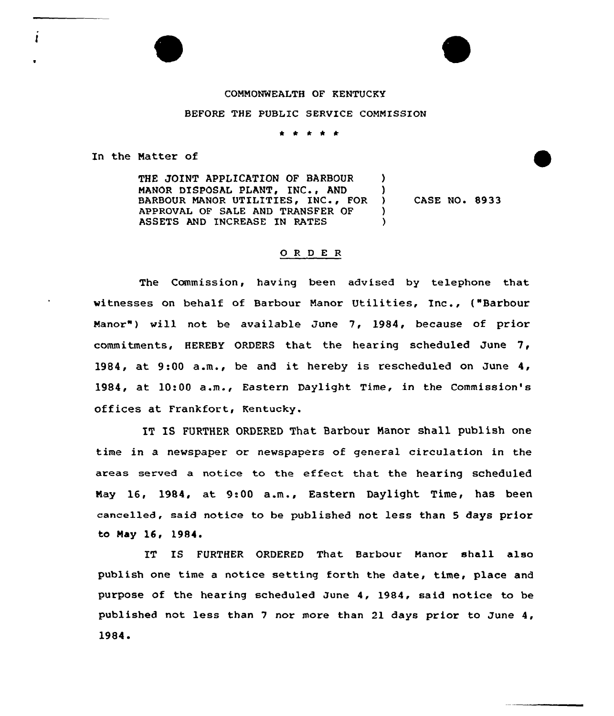## COMMONWEALTH OF KENTUCKY

## BEFORE THE PUBLIC SERVICE COMMISSION

\* \* \* \* \*

In the Natter of

THE JOINT APPLICATION OF BARBOUR ) MANOR DISPOSAL PLANT, INC., AND )<br>BARBOUR MANOR UTILITIES. INC., FOR ) BARBOUR MANOR UTILITIES, INC., FOR )<br>APPROVAL OF SALE AND TRANSFER OF ) APPROVAL OF SALE AND TRANSFER OF (3)<br>ASSETS AND INCREASE IN RATES ASSETS AND INCREASE IN RATES CASE NO. 8933

## ORDER

The Commission, having been advised by telephone that witnesses on behalf of Barbour Manor Utilities, Inc., ("Barbour Manor") will not be available June 7, 1984, because of prior commitments, HEREBY ORDERS that the hearing scheduled June 7, 1984, at 9:00 a.m., be and it hereby is rescheduled on June 4, 1984, at 10:00 a.m., Eastern Daylight Time, in the Commission's offices at Frankfort, Kentucky.

IT IS FURTHER ORDERED That Barbour Manor shall publish one time in a newspaper or newspapers of general circulation in the areas served a notice to the effect that the hearing scheduled Nay 16, 1984, at 9:00 a.m., Eastern Daylight Time, has been cancelled, said notice to be published not less than 5 days prior to May 16, 1984.

IT IS FURTHER ORDERED That Barbour Manor shall also publish one time a notice setting forth the date, time, place and purpose of the hearing scheduled June 4, 1984, said notice to be published not less than <sup>7</sup> nor more than 21 days prior to June 4, 1984 <sup>~</sup>